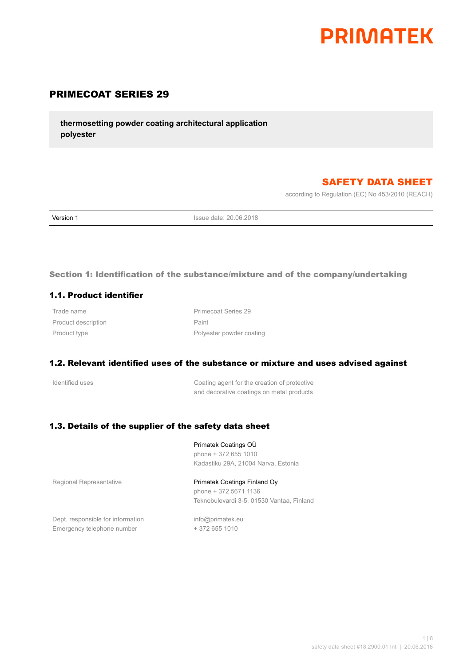# **PRIMATEK**

# PRIMECOAT SERIES 29

**thermosetting powder coating architectural application polyester**

# SAFETY DATA SHEET

according to Regulation (EC) No 453/2010 (REACH)

**Version 1 Issue date: 20.06.2018** 

## Section 1: Identification of the substance/mixture and of the company/undertaking

## 1.1. Product identifier

Product description **Paint** 

Trade name **Primecoat Series** 29 Product type **Product** type **Polyester powder coating** 

## 1.2. Relevant identified uses of the substance or mixture and uses advised against

Identified uses **IDENTIFY COATER COATER IS COATER** COATER OF THE CREATION OF PROTECTIVE and decorative coatings on metal products

## 1.3. Details of the supplier of the safety data sheet

## Primatek Coatings OÜ

phone + 372 655 1010 Kadastiku 29A, 21004 Narva, Estonia

Regional Representative **Primatek Coatings Finland Oy** 

phone + 372 5671 1136 Teknobulevardi 3-5, 01530 Vantaa, Finland

Dept. responsible for information info@primatek.eu Emergency telephone number + 372 655 1010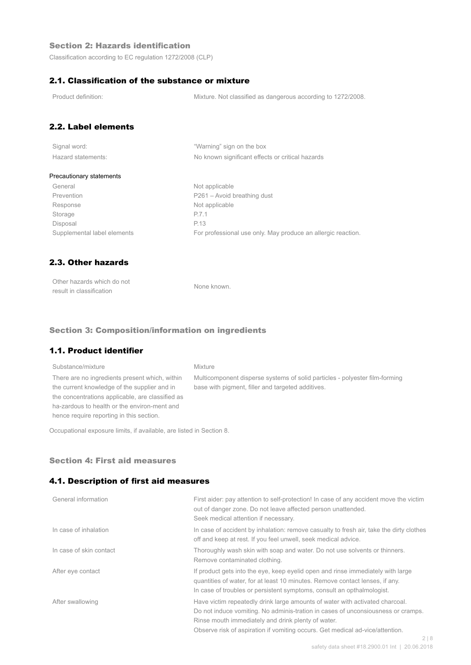## Section 2: Hazards identification

Classification according to EC regulation 1272/2008 (CLP)

## 2.1. Classification of the substance or mixture

Product definition: Mixture. Not classified as dangerous according to 1272/2008.

## 2.2. Label elements

| Signal word:       |  |
|--------------------|--|
| Hazard statements: |  |

"Warning" sign on the box No known significant effects or critical hazards

#### Precautionary statements

General Not applicable Prevention Prevention P261 – Avoid breathing dust Response Not applicable Storage P.7.1 Disposal P.13

Supplemental label elements For professional use only. May produce an allergic reaction.

## 2.3. Other hazards

| Other hazards which do not | None known. |
|----------------------------|-------------|
| result in classification   |             |

#### Section 3: Composition/information on ingredients

## 1.1. Product identifier

## Substance/mixture Mixture There are no ingredients present which, within the current knowledge of the supplier and in the concentrations applicable, are classified as ha-zardous to health or the environ-ment and hence require reporting in this section.

Multicomponent disperse systems of solid particles - polyester film-forming base with pigment, filler and targeted additives.

Occupational exposure limits, if available, are listed in Section 8.

#### Section 4: First aid measures

## 4.1. Description of first aid measures

| General information     | First aider: pay attention to self-protection! In case of any accident move the victim<br>out of danger zone. Do not leave affected person unattended.<br>Seek medical attention if necessary.                                                                                                                        |
|-------------------------|-----------------------------------------------------------------------------------------------------------------------------------------------------------------------------------------------------------------------------------------------------------------------------------------------------------------------|
| In case of inhalation   | In case of accident by inhalation: remove casualty to fresh air, take the dirty clothes<br>off and keep at rest. If you feel unwell, seek medical advice.                                                                                                                                                             |
| In case of skin contact | Thoroughly wash skin with soap and water. Do not use solvents or thinners.<br>Remove contaminated clothing.                                                                                                                                                                                                           |
| After eye contact       | If product gets into the eye, keep eyelid open and rinse immediately with large<br>guantities of water, for at least 10 minutes. Remove contact lenses, if any.<br>In case of troubles or persistent symptoms, consult an opthalmologist.                                                                             |
| After swallowing        | Have victim repeatedly drink large amounts of water with activated charcoal.<br>Do not induce vomiting. No adminis-tration in cases of unconsiousness or cramps.<br>Rinse mouth immediately and drink plenty of water.<br>Observe risk of aspiration if vomiting occurs. Get medical ad-vice/attention.<br>$\bigcirc$ |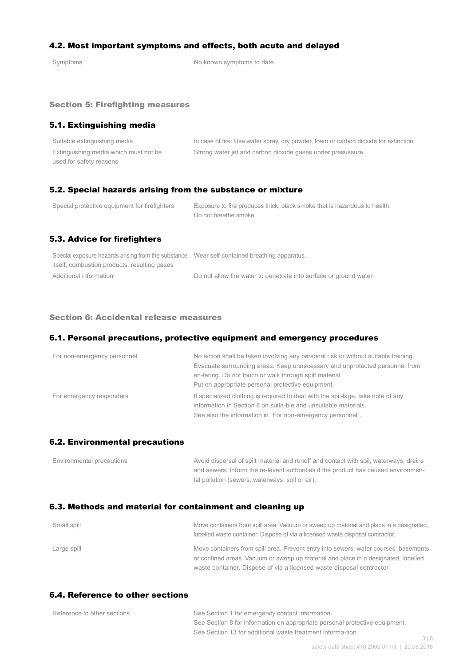## 4.2. Most important symptoms and effects, both acute and delayed

Symptoms Symptoms of the Symptoms to date.

#### Section 5: Firefighting measures

## 5.1. Extinguishing media

| Suitable extinguishing media          | In case of fire: Use water spray, dry powder, foam or carbon dioxide for extinction. |
|---------------------------------------|--------------------------------------------------------------------------------------|
| Extinguishing media which must not be | Strong water jet and carbon dioxide gases under presussure.                          |
| used for safety reasons               |                                                                                      |

## 5.2. Special hazards arising from the substance or mixture

| Special protective equipment for firefighters | Exposure to fire produces thick, black smoke that is hazardous to health.<br>Do not breathe smoke. |
|-----------------------------------------------|----------------------------------------------------------------------------------------------------|
| 5.3. Advice for firefighters                  |                                                                                                    |

| Special exposure hazards arising from the substance Wear self-contained breathing apparatus. |                                                                    |
|----------------------------------------------------------------------------------------------|--------------------------------------------------------------------|
| itself, combustion products, resulting gases                                                 |                                                                    |
| Additional information                                                                       | Do not allow fire water to penetrate into surface or ground water. |

#### Section 6: Accidental release measures

## 6.1. Personal precautions, protective equipment and emergency procedures

| For non-emergency personnel | No action shall be taken involving any personal risk or without suitable training.<br>Evacuate surrounding areas. Keep unnecessary and unprotected personnel from<br>en-tering. Do not touch or walk through spilt material.<br>Put on appropriate personal protective equipment. |
|-----------------------------|-----------------------------------------------------------------------------------------------------------------------------------------------------------------------------------------------------------------------------------------------------------------------------------|
| For emergency responders    | If specialized clothing is required to deal with the spil-lage, take note of any<br>information in Section 8 on suita-ble and unsuitable materials.<br>See also the information in "For non-emergency personnel".                                                                 |

#### 6.2. Environmental precautions

| Environmental precautions | Avoid dispersal of spilt material and runoff and contact with soil, waterways, drains |
|---------------------------|---------------------------------------------------------------------------------------|
|                           | and sewers. Inform the re-levant authorities if the product has caused environmen-    |
|                           | tal pollution (sewers, waterways, soil or air).                                       |

## 6.3. Methods and material for containment and cleaning up

| Small spill | Move containers from spill area. Vacuum or sweep up material and place in a designated,<br>labelled waste container. Dispose of via a licensed waste disposal contractor.  |
|-------------|----------------------------------------------------------------------------------------------------------------------------------------------------------------------------|
| Large spill | Move containers from spill area. Prevent entry into sewers, water courses, basements<br>or confined areas. Vacuum or sweep up material and place in a designated, labelled |
|             | waste container. Dispose of via a licensed waste disposal contractor.                                                                                                      |

## 6.4. Reference to other sections

| Reference to other sections | See Section 1 for emergency contact information.                            |     |
|-----------------------------|-----------------------------------------------------------------------------|-----|
|                             | See Section 8 for information on appropriate personal protective equipment. |     |
|                             | See Section 13 for additional waste treatment informa-tion.                 |     |
|                             |                                                                             | 318 |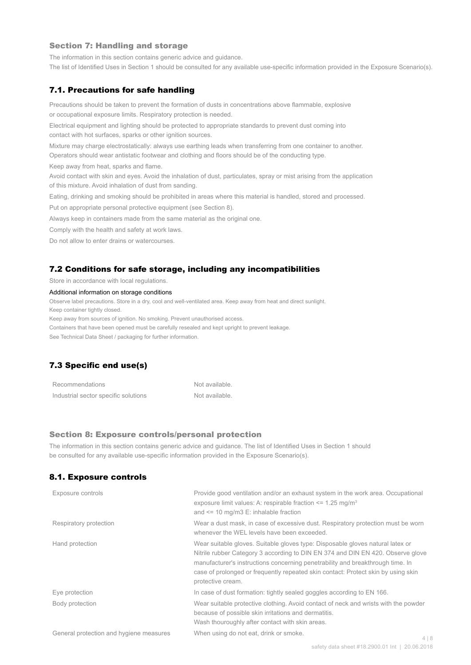#### Section 7: Handling and storage

The information in this section contains generic advice and guidance.

The list of Identified Uses in Section 1 should be consulted for any available use-specific information provided in the Exposure Scenario(s).

## 7.1. Precautions for safe handling

Precautions should be taken to prevent the formation of dusts in concentrations above flammable, explosive or occupational exposure limits. Respiratory protection is needed.

Electrical equipment and lighting should be protected to appropriate standards to prevent dust coming into contact with hot surfaces, sparks or other ignition sources.

Mixture may charge electrostatically: always use earthing leads when transferring from one container to another.

Operators should wear antistatic footwear and clothing and floors should be of the conducting type.

Keep away from heat, sparks and flame.

Avoid contact with skin and eyes. Avoid the inhalation of dust, particulates, spray or mist arising from the application of this mixture. Avoid inhalation of dust from sanding.

Eating, drinking and smoking should be prohibited in areas where this material is handled, stored and processed.

Put on appropriate personal protective equipment (see Section 8).

Always keep in containers made from the same material as the original one.

Comply with the health and safety at work laws.

Do not allow to enter drains or watercourses.

#### 7.2 Conditions for safe storage, including any incompatibilities

Store in accordance with local regulations.

#### Additional information on storage conditions

Observe label precautions. Store in a dry, cool and well-ventilated area. Keep away from heat and direct sunlight.

Keep container tightly closed.

Keep away from sources of ignition. No smoking. Prevent unauthorised access.

Containers that have been opened must be carefully resealed and kept upright to prevent leakage.

See Technical Data Sheet / packaging for further information.

# 7.3 Specific end use(s)

| Recommendations                      | Not available. |
|--------------------------------------|----------------|
| Industrial sector specific solutions | Not available. |

#### Section 8: Exposure controls/personal protection

The information in this section contains generic advice and guidance. The list of Identified Uses in Section 1 should be consulted for any available use-specific information provided in the Exposure Scenario(s).

## 8.1. Exposure controls

| Exposure controls                       | Provide good ventilation and/or an exhaust system in the work area. Occupational<br>exposure limit values: A: respirable fraction $\leq$ 1.25 mg/m <sup>3</sup><br>and $\le$ 10 mg/m3 E: inhalable fraction                                                                                                                                                   |       |
|-----------------------------------------|---------------------------------------------------------------------------------------------------------------------------------------------------------------------------------------------------------------------------------------------------------------------------------------------------------------------------------------------------------------|-------|
| Respiratory protection                  | Wear a dust mask, in case of excessive dust. Respiratory protection must be worn<br>whenever the WEL levels have been exceeded.                                                                                                                                                                                                                               |       |
| Hand protection                         | Wear suitable gloves. Suitable gloves type: Disposable gloves natural latex or<br>Nitrile rubber Category 3 according to DIN EN 374 and DIN EN 420. Observe glove<br>manufacturer's instructions concerning penetrability and breakthrough time. In<br>case of prolonged or frequently repeated skin contact: Protect skin by using skin<br>protective cream. |       |
| Eye protection                          | In case of dust formation: tightly sealed goggles according to EN 166.                                                                                                                                                                                                                                                                                        |       |
| Body protection                         | Wear suitable protective clothing. Avoid contact of neck and wrists with the powder<br>because of possible skin irritations and dermatitis.<br>Wash thouroughly after contact with skin areas.                                                                                                                                                                |       |
| General protection and hygiene measures | When using do not eat, drink or smoke.                                                                                                                                                                                                                                                                                                                        | 4   8 |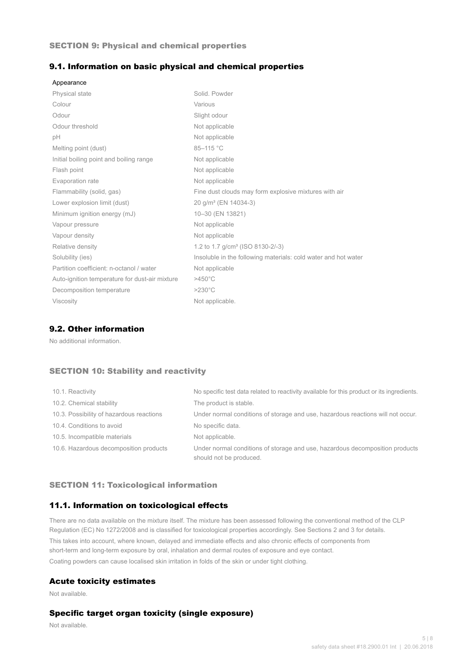## SECTION 9: Physical and chemical properties

## 9.1. Information on basic physical and chemical properties

| Appearance                                     |                                                                |
|------------------------------------------------|----------------------------------------------------------------|
| <b>Physical state</b>                          | Solid, Powder                                                  |
| Colour                                         | Various                                                        |
| Odour                                          | Slight odour                                                   |
| Odour threshold                                | Not applicable                                                 |
| рH                                             | Not applicable                                                 |
| Melting point (dust)                           | 85-115 °C                                                      |
| Initial boiling point and boiling range        | Not applicable                                                 |
| Flash point                                    | Not applicable                                                 |
| Evaporation rate                               | Not applicable                                                 |
| Flammability (solid, gas)                      | Fine dust clouds may form explosive mixtures with air          |
| Lower explosion limit (dust)                   | 20 g/m <sup>3</sup> (EN 14034-3)                               |
| Minimum ignition energy (mJ)                   | 10-30 (EN 13821)                                               |
| Vapour pressure                                | Not applicable                                                 |
| Vapour density                                 | Not applicable                                                 |
| Relative density                               | 1.2 to 1.7 g/cm <sup>3</sup> (ISO 8130-2/-3)                   |
| Solubility (ies)                               | Insoluble in the following materials: cold water and hot water |
| Partition coefficient: n-octanol / water       | Not applicable                                                 |
| Auto-ignition temperature for dust-air mixture | $>450^{\circ}$ C                                               |
| Decomposition temperature                      | $>230^{\circ}$ C                                               |
| <b>Viscosity</b>                               | Not applicable.                                                |

## 9.2. Other information

No additional information.

## SECTION 10: Stability and reactivity

| 10.1. Reactivity                         | No specific test data related to reactivity available for this product or its ingredients.              |
|------------------------------------------|---------------------------------------------------------------------------------------------------------|
| 10.2. Chemical stability                 | The product is stable.                                                                                  |
| 10.3. Possibility of hazardous reactions | Under normal conditions of storage and use, hazardous reactions will not occur.                         |
| 10.4. Conditions to avoid                | No specific data.                                                                                       |
| 10.5. Incompatible materials             | Not applicable.                                                                                         |
| 10.6. Hazardous decomposition products   | Under normal conditions of storage and use, hazardous decomposition products<br>should not be produced. |

## SECTION 11: Toxicological information

## 11.1. Information on toxicological effects

There are no data available on the mixture itself. The mixture has been assessed following the conventional method of the CLP Regulation (EC) No 1272/2008 and is classified for toxicological properties accordingly. See Sections 2 and 3 for details. This takes into account, where known, delayed and immediate effects and also chronic effects of components from short-term and long-term exposure by oral, inhalation and dermal routes of exposure and eye contact. Coating powders can cause localised skin irritation in folds of the skin or under tight clothing.

#### Acute toxicity estimates

Not available.

## Specific target organ toxicity (single exposure)

Not available.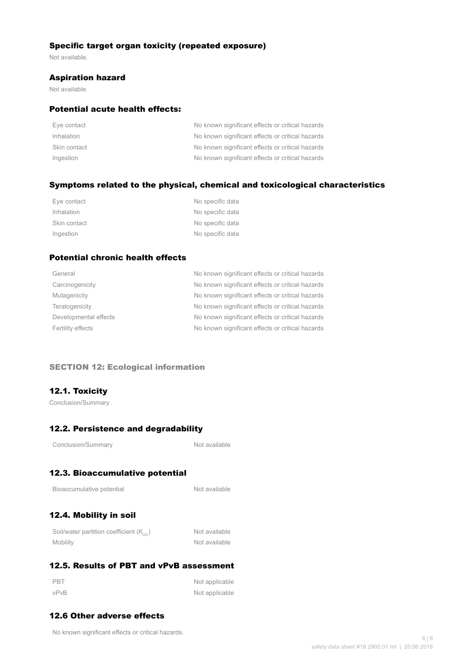## Specific target organ toxicity (repeated exposure)

Not available.

## Aspiration hazard

Not available.

## Potential acute health effects:

| Eye contact  | No known significant effects or critical hazards |
|--------------|--------------------------------------------------|
| Inhalation   | No known significant effects or critical hazards |
| Skin contact | No known significant effects or critical hazards |
| Ingestion    | No known significant effects or critical hazards |

## Symptoms related to the physical, chemical and toxicological characteristics

| Eye contact  | No specific data |
|--------------|------------------|
| Inhalation   | No specific data |
| Skin contact | No specific data |
| Ingestion    | No specific data |

# Potential chronic health effects

| General               | No known significant effects or critical hazards |
|-----------------------|--------------------------------------------------|
| Carcinogenicity       | No known significant effects or critical hazards |
| Mutagenicity          | No known significant effects or critical hazards |
| Teratogenicity        | No known significant effects or critical hazards |
| Developmental effects | No known significant effects or critical hazards |
| Fertility effects     | No known significant effects or critical hazards |
|                       |                                                  |

## SECTION 12: Ecological information

## 12.1. Toxicity

Conclusion/Summary

# 12.2. Persistence and degradability

Not available

# 12.3. Bioaccumulative potential

Not available

# 12.4. Mobility in soil

| Soil/water partition coefficient $(K_{\text{oc}})$ | Not available |
|----------------------------------------------------|---------------|
| Mobility                                           | Not available |

# 12.5. Results of PBT and vPvB assessment

| PBT  | Not applicable |
|------|----------------|
| vPvB | Not applicable |

# 12.6 Other adverse effects

No known significant effects or critical hazards.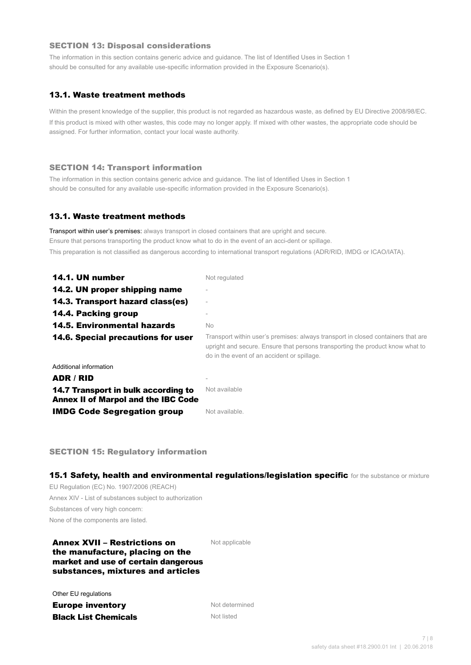## SECTION 13: Disposal considerations

The information in this section contains generic advice and guidance. The list of Identified Uses in Section 1 should be consulted for any available use-specific information provided in the Exposure Scenario(s).

## 13.1. Waste treatment methods

Within the present knowledge of the supplier, this product is not regarded as hazardous waste, as defined by EU Directive 2008/98/EC. If this product is mixed with other wastes, this code may no longer apply. If mixed with other wastes, the appropriate code should be assigned. For further information, contact your local waste authority.

#### SECTION 14: Transport information

The information in this section contains generic advice and guidance. The list of Identified Uses in Section 1 should be consulted for any available use-specific information provided in the Exposure Scenario(s).

## 13.1. Waste treatment methods

Transport within user's premises: always transport in closed containers that are upright and secure. Ensure that persons transporting the product know what to do in the event of an acci-dent or spillage. This preparation is not classified as dangerous according to international transport regulations (ADR/RID, IMDG or ICAO/IATA).

| 14.1. UN number                                                                   | Not regulated                                                                                                                                                                                                    |
|-----------------------------------------------------------------------------------|------------------------------------------------------------------------------------------------------------------------------------------------------------------------------------------------------------------|
| 14.2. UN proper shipping name                                                     |                                                                                                                                                                                                                  |
| 14.3. Transport hazard class(es)                                                  | $\overline{\phantom{a}}$                                                                                                                                                                                         |
| 14.4. Packing group                                                               |                                                                                                                                                                                                                  |
| <b>14.5. Environmental hazards</b>                                                | No.                                                                                                                                                                                                              |
| 14.6. Special precautions for user                                                | Transport within user's premises: always transport in closed containers that are<br>upright and secure. Ensure that persons transporting the product know what to<br>do in the event of an accident or spillage. |
| Additional information                                                            |                                                                                                                                                                                                                  |
| ADR / RID                                                                         |                                                                                                                                                                                                                  |
| 14.7 Transport in bulk according to<br><b>Annex II of Marpol and the IBC Code</b> | Not available                                                                                                                                                                                                    |
| <b>IMDG Code Segregation group</b>                                                | Not available.                                                                                                                                                                                                   |

SECTION 15: Regulatory information

15.1 Safety, health and environmental regulations/legislation specific for the substance or mixture

EU Regulation (EC) No. 1907/2006 (REACH) Annex XIV - List of substances subject to authorization Substances of very high concern: None of the components are listed.

## Annex XVII – Restrictions on the manufacture, placing on the market and use of certain dangerous substances, mixtures and articles

Not applicable

Other EU regulations

**Europe inventory** Not determined **Black List Chemicals** Not listed